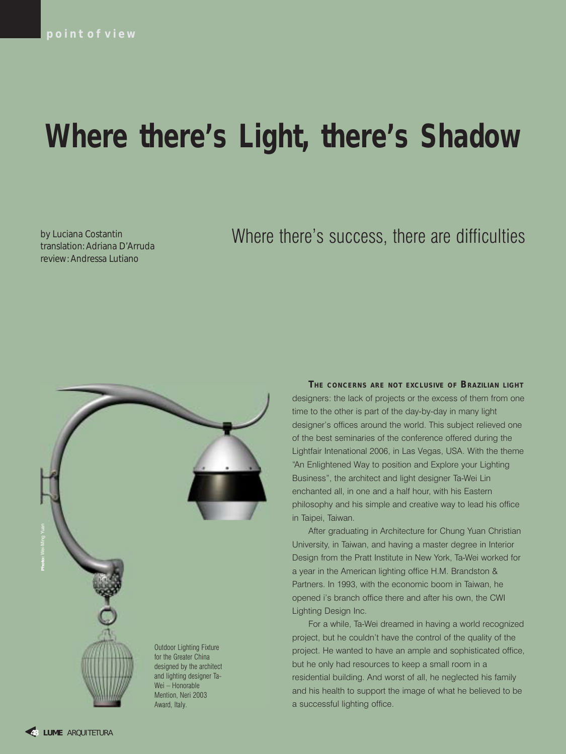# **Where there's Light, there's Shadow**

by Luciana Costantin translation: Adriana D'Arruda review: Andressa Lutiano

# Where there's success, there are difficulties



**THE CONCERNS ARE NOT EXCLUSIVE OF BRAZILIAN LIGHT** designers: the lack of projects or the excess of them from one time to the other is part of the day-by-day in many light designer's offices around the world. This subject relieved one of the best seminaries of the conference offered during the Lightfair Intenational 2006, in Las Vegas, USA. With the theme "An Enlightened Way to position and Explore your Lighting Business", the architect and light designer Ta-Wei Lin enchanted all, in one and a half hour, with his Eastern philosophy and his simple and creative way to lead his office in Taipei, Taiwan.

After graduating in Architecture for Chung Yuan Christian University, in Taiwan, and having a master degree in Interior Design from the Pratt Institute in New York, Ta-Wei worked for a year in the American lighting office H.M. Brandston & Partners. In 1993, with the economic boom in Taiwan, he opened i's branch office there and after his own, the CWI Lighting Design Inc.

For a while, Ta-Wei dreamed in having a world recognized project, but he couldn't have the control of the quality of the project. He wanted to have an ample and sophisticated office, but he only had resources to keep a small room in a residential building. And worst of all, he neglected his family and his health to support the image of what he believed to be a successful lighting office.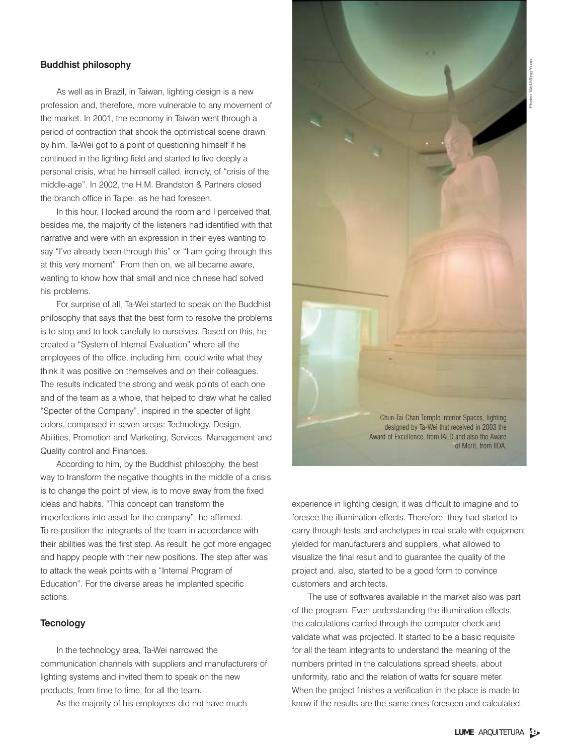# Buddhist philosophy

As well as in Brazil, in Taiwan, lighting design is a new profession and, therefore, more vulnerable to any movement of the market. In 2001, the economy in Taiwan went through a period of contraction that shook the optimistical scene drawn by him. Ta-Wei got to a point of questioning himself if he continued in the lighting field and started to live deeply a personal crisis, what he himself called, ironicly, of "crisis of the middle-age". In 2002, the H.M. Brandston & Partners closed the branch office in Taipei, as he had foreseen.

In this hour. I looked around the room and I perceived that, besides me, the majority of the listeners had identified with that narrative and were with an expression in their eyes wanting to say "I've already been through this" or "I am going through this at this very moment". From then on, we all became aware, wanting to know how that small and nice chinese had solved his problems.

For surprise of all, Ta-Wei started to speak on the Buddhist philosophy that says that the best form to resolve the problems is to stop and to look carefully to ourselves. Based on this, he created a "System of Internal Evaluation" where all the employees of the office, including him, could write what they think it was positive on themselves and on their colleagues. The results indicated the strong and weak points of each one and of the team as a whole, that helped to draw what he called "Specter of the Company", inspired in the specter of light colors, composed in seven areas: Technology, Design, Abilities, Promotion and Marketing, Services, Management and Quality control and Finances.

According to him, by the Buddhist philosophy, the best way to transform the negative thoughts in the middle of a crisis is to change the point of view, is to move away from the fixed ideas and habits. "This concept can transform the imperfections into asset for the company", he affirmed. To re-position the integrants of the team in accordance with their abilities was the first step. As result, he got more engaged and happy people with their new positions. The step after was to attack the weak points with a "Internal Program of Education". For the diverse areas he implanted specific actions.

#### **Tecnology**

In the technology area, Ta-Wei narrowed the communication channels with suppliers and manufacturers of lighting systems and invited them to speak on the new products, from time to time, for all the team.

As the majority of his employees did not have much



experience in lighting design, it was difficult to imagine and to foresee the illumination effects. Therefore, they had started to carry through tests and archetypes in real scale with equipment yielded for manufacturers and suppliers, what allowed to visualize the final result and to guarantee the quality of the project and, also, started to be a good form to convince customers and architects.

The use of softwares available in the market also was part of the program. Even understanding the illumination effects, the calculations carried through the computer check and validate what was projected. It started to be a basic requisite for all the team integrants to understand the meaning of the numbers printed in the calculations spread sheets, about uniformity, ratio and the relation of watts for square meter. When the project finishes a verification in the place is made to know if the results are the same ones foreseen and calculated.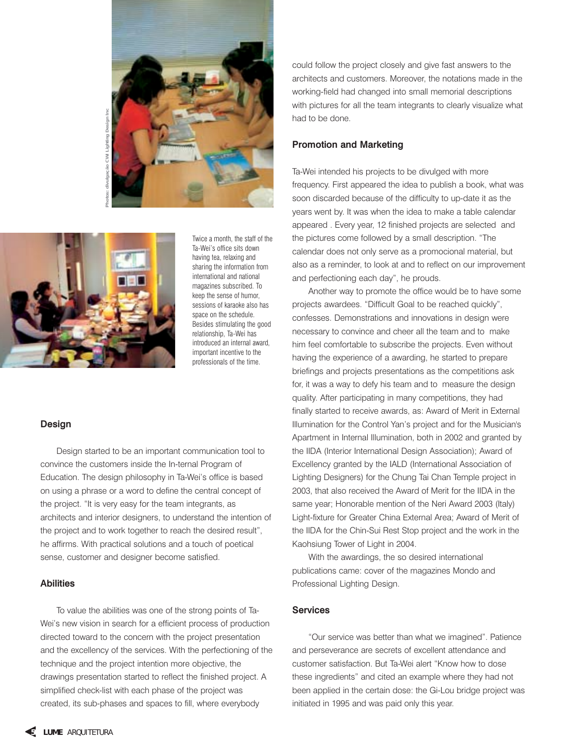

**Photos: divulgação CWI Lighting Design Inc**



Twice a month, the staff of the Ta-Wei's office sits down having tea, relaxing and sharing the information from international and national magazines subscribed. To keep the sense of humor, sessions of karaoke also has space on the schedule. Besides stimulating the good relationship, Ta-Wei has introduced an internal award, important incentive to the professionals of the time.

#### Design

Design started to be an important communication tool to convince the customers inside the In-ternal Program of Education. The design philosophy in Ta-Wei's office is based on using a phrase or a word to define the central concept of the project. "It is very easy for the team integrants, as architects and interior designers, to understand the intention of the project and to work together to reach the desired result", he affirms. With practical solutions and a touch of poetical sense, customer and designer become satisfied.

#### Abilities

To value the abilities was one of the strong points of Ta-Wei's new vision in search for a efficient process of production directed toward to the concern with the project presentation and the excellency of the services. With the perfectioning of the technique and the project intention more objective, the drawings presentation started to reflect the finished project. A simplified check-list with each phase of the project was created, its sub-phases and spaces to fill, where everybody

could follow the project closely and give fast answers to the architects and customers. Moreover, the notations made in the working-field had changed into small memorial descriptions with pictures for all the team integrants to clearly visualize what had to be done.

# Promotion and Marketing

Ta-Wei intended his projects to be divulged with more frequency. First appeared the idea to publish a book, what was soon discarded because of the difficulty to up-date it as the years went by. It was when the idea to make a table calendar appeared . Every year, 12 finished projects are selected and the pictures come followed by a small description. "The calendar does not only serve as a promocional material, but also as a reminder, to look at and to reflect on our improvement and perfectioning each day", he prouds.

Another way to promote the office would be to have some projects awardees. "Difficult Goal to be reached quickly", confesses. Demonstrations and innovations in design were necessary to convince and cheer all the team and to make him feel comfortable to subscribe the projects. Even without having the experience of a awarding, he started to prepare briefings and projects presentations as the competitions ask for, it was a way to defy his team and to measure the design quality. After participating in many competitions, they had finally started to receive awards, as: Award of Merit in External Illumination for the Control Yan's project and for the Musician's Apartment in Internal Illumination, both in 2002 and granted by the IIDA (Interior International Design Association); Award of Excellency granted by the IALD (International Association of Lighting Designers) for the Chung Tai Chan Temple project in 2003, that also received the Award of Merit for the IIDA in the same year; Honorable mention of the Neri Award 2003 (Italy) Light-fixture for Greater China External Area; Award of Merit of the IIDA for the Chin-Sui Rest Stop project and the work in the Kaohsiung Tower of Light in 2004.

With the awardings, the so desired international publications came: cover of the magazines Mondo and Professional Lighting Design.

# **Services**

"Our service was better than what we imagined". Patience and perseverance are secrets of excellent attendance and customer satisfaction. But Ta-Wei alert "Know how to dose these ingredients" and cited an example where they had not been applied in the certain dose: the Gi-Lou bridge project was initiated in 1995 and was paid only this year.